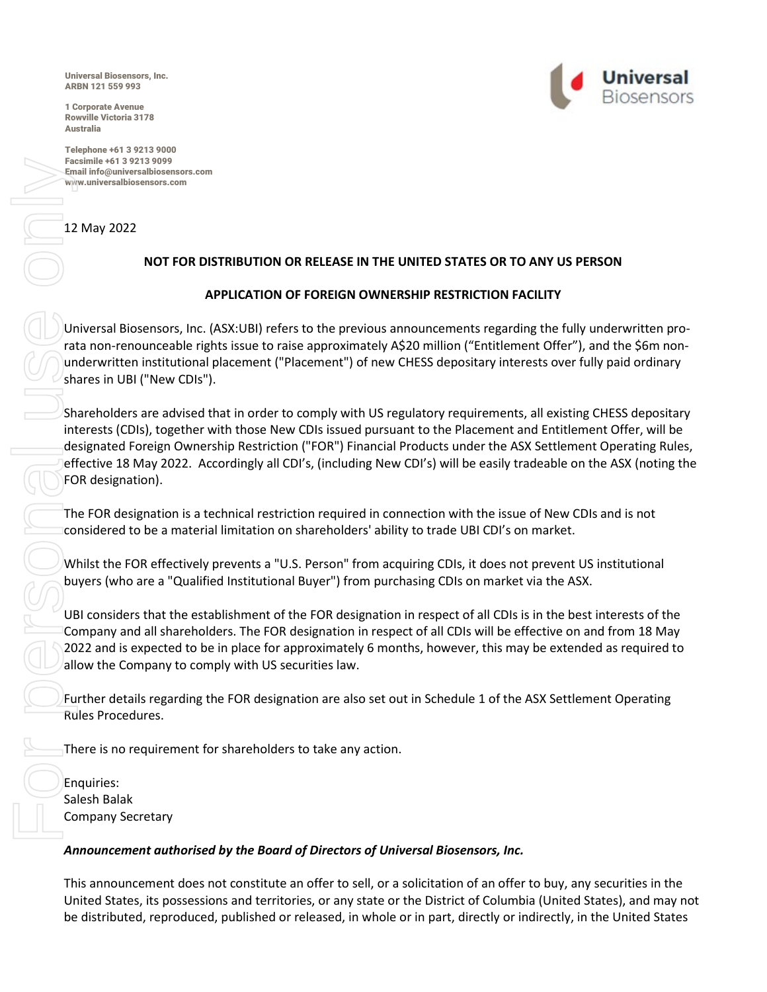Universal Biosensors, Inc. ARBN 121 559 993

1 Corporate Avenue Rowville Victoria 3178 Australia

Telephone +61 3 9213 9000 Facsimile +61 3 9213 9099 Email info@universalbiosensors.com www.universalbiosensors.com

## 12 May 2022

# **NOT FOR DISTRIBUTION OR RELEASE IN THE UNITED STATES OR TO ANY US PERSON**

## **APPLICATION OF FOREIGN OWNERSHIP RESTRICTION FACILITY**

Universal Biosensors, Inc. (ASX:UBI) refers to the previous announcements regarding the fully underwritten prorata non-renounceable rights issue to raise approximately A\$20 million ("Entitlement Offer"), and the \$6m nonunderwritten institutional placement ("Placement") of new CHESS depositary interests over fully paid ordinary shares in UBI ("New CDIs").

Shareholders are advised that in order to comply with US regulatory requirements, all existing CHESS depositary interests (CDIs), together with those New CDIs issued pursuant to the Placement and Entitlement Offer, will be designated Foreign Ownership Restriction ("FOR") Financial Products under the ASX Settlement Operating Rules, effective 18 May 2022. Accordingly all CDI's, (including New CDI's) will be easily tradeable on the ASX (noting the FOR designation). be the distributed or the distributed or release or release to the distributed or released.<br>
The analysis of the distributed or released or the distributed or release of the distributed or individual use only and the distr

The FOR designation is a technical restriction required in connection with the issue of New CDIs and is not considered to be a material limitation on shareholders' ability to trade UBI CDI's on market.

Whilst the FOR effectively prevents a "U.S. Person" from acquiring CDIs, it does not prevent US institutional buyers (who are a "Qualified Institutional Buyer") from purchasing CDIs on market via the ASX.

UBI considers that the establishment of the FOR designation in respect of all CDIs is in the best interests of the Company and all shareholders. The FOR designation in respect of all CDIs will be effective on and from 18 May 2022 and is expected to be in place for approximately 6 months, however, this may be extended as required to allow the Company to comply with US securities law.

Further details regarding the FOR designation are also set out in Schedule 1 of the ASX Settlement Operating Rules Procedures.

There is no requirement for shareholders to take any action.

Enquiries: Salesh Balak Company Secretary

## *Announcement authorised by the Board of Directors of Universal Biosensors, Inc.*

This announcement does not constitute an offer to sell, or a solicitation of an offer to buy, any securities in the United States, its possessions and territories, or any state or the District of Columbia (United States), and may not

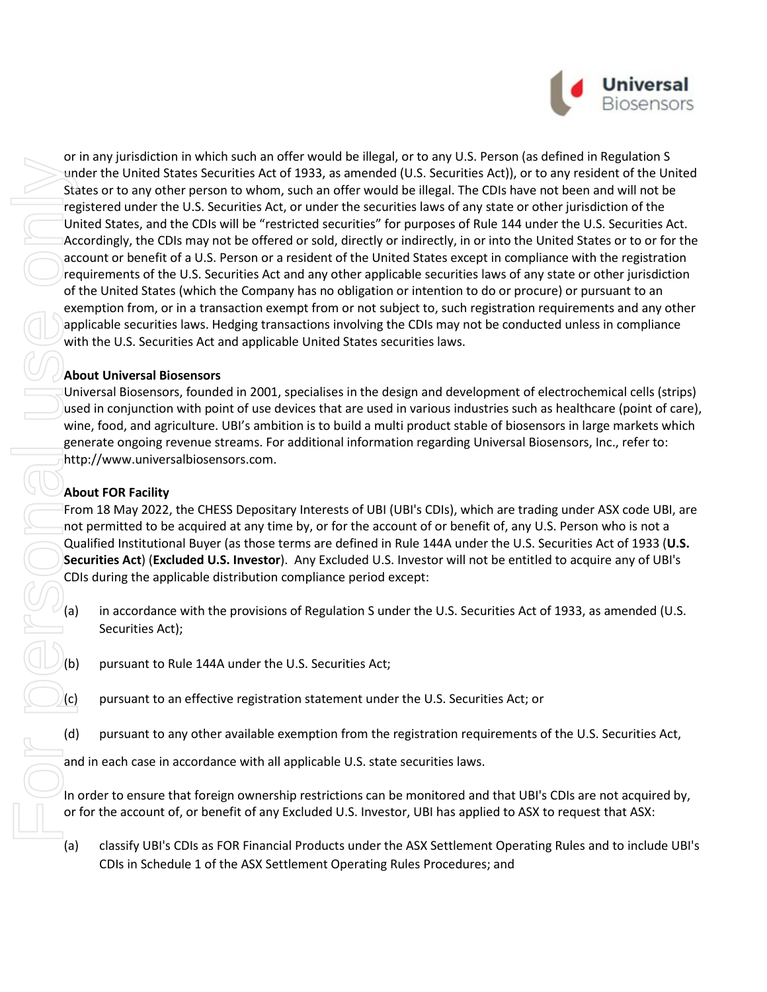

or in any jurisdiction in which such an offer would be illegal, or to any U.S. Person (as defined in Regulation S under the United States Securities Act of 1933, as amended (U.S. Securities Act)), or to any resident of the United States or to any other person to whom, such an offer would be illegal. The CDIs have not been and will not be registered under the U.S. Securities Act, or under the securities laws of any state or other jurisdiction of the United States, and the CDIs will be "restricted securities" for purposes of Rule 144 under the U.S. Securities Act. Accordingly, the CDIs may not be offered or sold, directly or indirectly, in or into the United States or to or for the account or benefit of a U.S. Person or a resident of the United States except in compliance with the registration requirements of the U.S. Securities Act and any other applicable securities laws of any state or other jurisdiction of the United States (which the Company has no obligation or intention to do or procure) or pursuant to an exemption from, or in a transaction exempt from or not subject to, such registration requirements and any other applicable securities laws. Hedging transactions involving the CDIs may not be conducted unless in compliance with the U.S. Securities Act and applicable United States securities laws.

### **About Universal Biosensors**

Universal Biosensors, founded in 2001, specialises in the design and development of electrochemical cells (strips) used in conjunction with point of use devices that are used in various industries such as healthcare (point of care), wine, food, and agriculture. UBI's ambition is to build a multi product stable of biosensors in large markets which generate ongoing revenue streams. For additional information regarding Universal Biosensors, Inc., refer to: [http://www.universalbiosensors.com.](http://www.universalbiosensors.com/)

## **About FOR Facility**

From 18 May 2022, the CHESS Depositary Interests of UBI (UBI's CDIs), which are trading under ASX code UBI, are not permitted to be acquired at any time by, or for the account of or benefit of, any U.S. Person who is not a Qualified Institutional Buyer (as those terms are defined in Rule 144A under the U.S. Securities Act of 1933 (**U.S. Securities Act**) (**Excluded U.S. Investor**). Any Excluded U.S. Investor will not be entitled to acquire any of UBI's CDIs during the applicable distribution compliance period except:

- (a) in accordance with the provisions of Regulation S under the U.S. Securities Act of 1933, as amended (U.S. Securities Act);
- (b) pursuant to Rule 144A under the U.S. Securities Act;
- (c) pursuant to an effective registration statement under the U.S. Securities Act; or
- (d) pursuant to any other available exemption from the registration requirements of the U.S. Securities Act,

and in each case in accordance with all applicable U.S. state securities laws.

In order to ensure that foreign ownership restrictions can be monitored and that UBI's CDIs are not acquired by, or for the account of, or benefit of any Excluded U.S. Investor, UBI has applied to ASX to request that ASX:

(a) classify UBI's CDIs as FOR Financial Products under the ASX Settlement Operating Rules and to include UBI's CDIs in Schedule 1 of the ASX Settlement Operating Rules Procedures; and